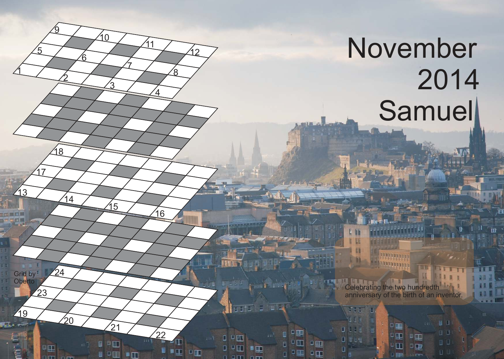## November 2014 **Samuel**

 $\mathfrak{1}$ 

13

19

Grid by **Oberto** 

17

5

<u>2</u>

14

 $\gamma_0$ 

 $24$ 

23

Œ

18

<u>ପ</u>

6

์ว

15

 $^{'}21$ 

 $\blacksquare$ 

 $\blacksquare$ 

10

7

 $\Delta$ 

 $\sqrt{16}$ 

 $^{'}22$ 

 $D$ 

∎π

11

 $\rm \acute{e}$ 

イク

Celebrating the two hundredth anniversary of the birth of an inventor.

 $\Box$ 

9 E E

 $\Box$ 

D U

tit F

EEH

◘⋓∊₩

中耳

 $D$  on

 $\Box$ 

 $D$   $D$   $\overline{D}$ 

 $\square$   $\square$   $\square$ 

n ditt

Œ

田